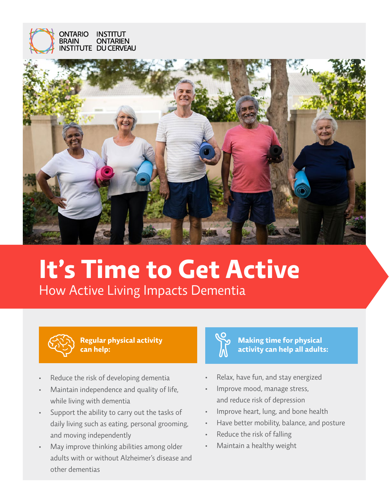



# **It's Time to Get Active** How Active Living Impacts Dementia



**Regular physical activity can help:**

- Reduce the risk of developing dementia
- Maintain independence and quality of life, while living with dementia
- Support the ability to carry out the tasks of daily living such as eating, personal grooming, and moving independently
- May improve thinking abilities among older adults with or without Alzheimer's disease and other dementias



#### **Making time for physical activity can help all adults:**

- Relax, have fun, and stay energized
- Improve mood, manage stress, and reduce risk of depression
- Improve heart, lung, and bone health
- Have better mobility, balance, and posture
- Reduce the risk of falling
- Maintain a healthy weight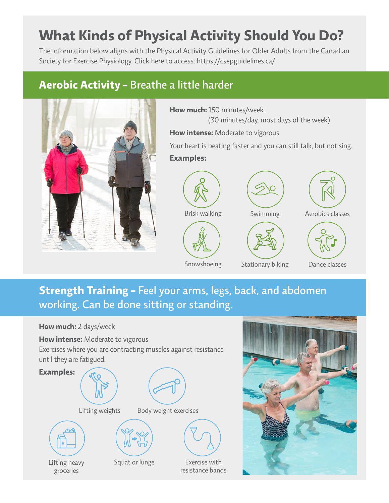# **What Kinds of Physical Activity Should You Do?**

The information below aligns with the Physical Activity Guidelines for Older Adults from the Canadian Society for Exercise Physiology. Click here to access: <https://csepguidelines.ca/>

#### **Aerobic Activity -** Breathe a little harder



**How much:** 150 minutes/week (30 minutes/day, most days of the week) **How intense:** Moderate to vigorous

Your heart is beating faster and you can still talk, but not sing. **Examples:**



Snowshoeing



Stationary biking

Swimming Aerobics classes



#### Dance classes

### **Strength Training -** Feel your arms, legs, back, and abdomen working. Can be done sitting or standing.

#### **How much:** 2 days/week

**How intense:** Moderate to vigorous

Exercises where you are contracting muscles against resistance until they are fatigued.



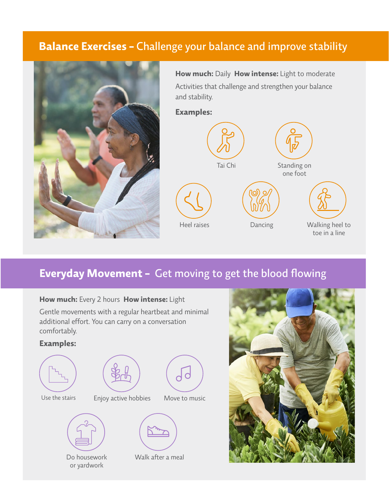#### **Balance Exercises -** Challenge your balance and improve stability



**How much:** Daily **How intense:** Light to moderate Activities that challenge and strengthen your balance and stability.

**Examples:**



#### **Everyday Movement -** Get moving to get the blood flowing



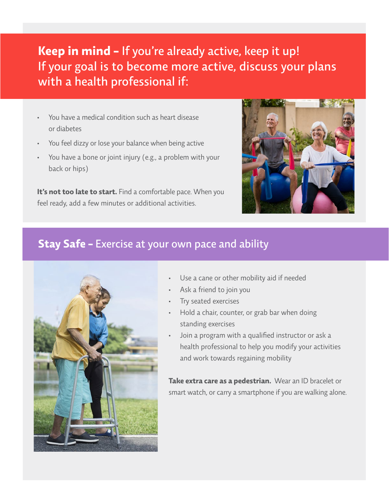## **Keep in mind -** If you're already active, keep it up! If your goal is to become more active, discuss your plans with a health professional if:

- You have a medical condition such as heart disease or diabetes
- You feel dizzy or lose your balance when being active
- You have a bone or joint injury (e.g., a problem with your back or hips)

**It's not too late to start.** Find a comfortable pace. When you feel ready, add a few minutes or additional activities.



#### **Stay Safe -** Exercise at your own pace and ability



- Use a cane or other mobility aid if needed
- Ask a friend to join you
- Try seated exercises
- Hold a chair, counter, or grab bar when doing standing exercises
- Join a program with a qualified instructor or ask a health professional to help you modify your activities and work towards regaining mobility

**Take extra care as a pedestrian.** Wear an ID bracelet or smart watch, or carry a smartphone if you are walking alone.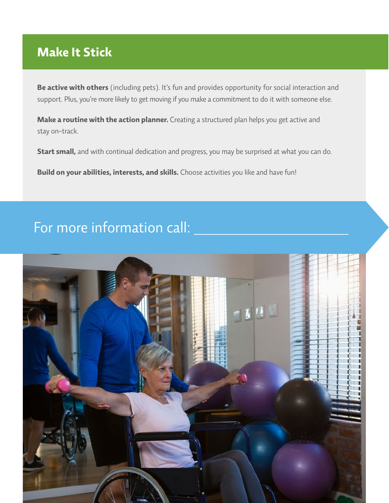## **Make It Stick**

**Be active with others** (including pets). It's fun and provides opportunity for social interaction and support. Plus, you're more likely to get moving if you make a commitment to do it with someone else.

**Make a routine with the action planner.** Creating a structured plan helps you get active and stay on-track.

**Start small,** and with continual dedication and progress, you may be surprised at what you can do.

**Build on your abilities, interests, and skills.** Choose activities you like and have fun!

## For more information call: